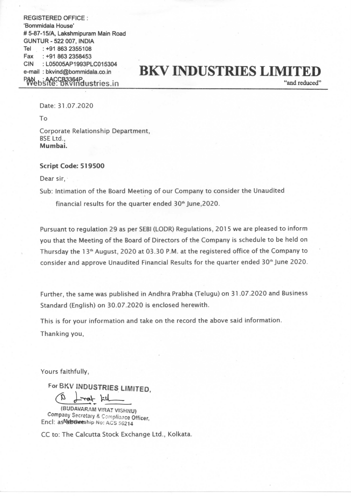REGISTERED OFFICE : 'Bommidala House' # 5-87-15/A, Lakshmipuram Main Road GUNTUR - 522 007, INDIA Tel : +91 863 2355108 Fax : +91 863 2358453 CIN : L05005AP1993PLC015304 e-mail : bkvind@bommidala.co.in CCB3364P<br>CCR3364Pdustries.in

## BKV INDUSTRIES LIMITED

"and reduced"

Date: 31.07.2020

To

Corporate Relationship Department, BSE Ltd., Mumbai.

## Script Code: 519500

Dear sir.

Sub: Intimation of the Board Meeting of our Company to consider the Unaudited

financial results for the quarter ended 30<sup>th</sup> June, 2020.

Pursuant to regulation 29 as per SEBI (LODR) Regulations, 2015 we are pleased to inform you that the Meeting of the Board of Directors of the Company is schedule to be held on Thursday the 13<sup>th</sup> August, 2020 at 03.30 P.M. at the registered office of the Company to consider and approve Unaudited Financial Results for the quarter ended 3Q'h June 2020.

Further, the same was published in Andhra Prabha (Telugu) on 31.07.2020 and Business Standard (English) on 30.07.2020 is enclosed herewith.

This is for your information and take on the record the above said information.

Thanking you,

Yours faithfully,

For BKV INDUSTRIES LIMITED

 $(B \text{1--} \cdot \text{1--} \cdot \text{1--} \cdot \text{1--} \cdot \text{1--} \cdot \text{1--} \cdot \text{1--} \cdot \text{1--} \cdot \text{1--} \cdot \text{1--} \cdot \text{1--} \cdot \text{1--} \cdot \text{1--} \cdot \text{1--} \cdot \text{1--} \cdot \text{1--} \cdot \text{1--} \cdot \text{1--} \cdot \text{1--} \cdot \text{1--} \cdot \text{1--} \cdot \text{1--} \cdot \text{1--} \cdot \text{1--} \cdot \text{1--} \cdot \text{1--} \cdot \text{1--} \cdot \text{$ 

(BUDAVARAM VIRAT VISHNU)<br>Company Secretary & Compliance Officer, Encl: as Nabubeeship No: ACS 56214

CC to: The Calcutta Stock Exchange Ltd., Kolkata.